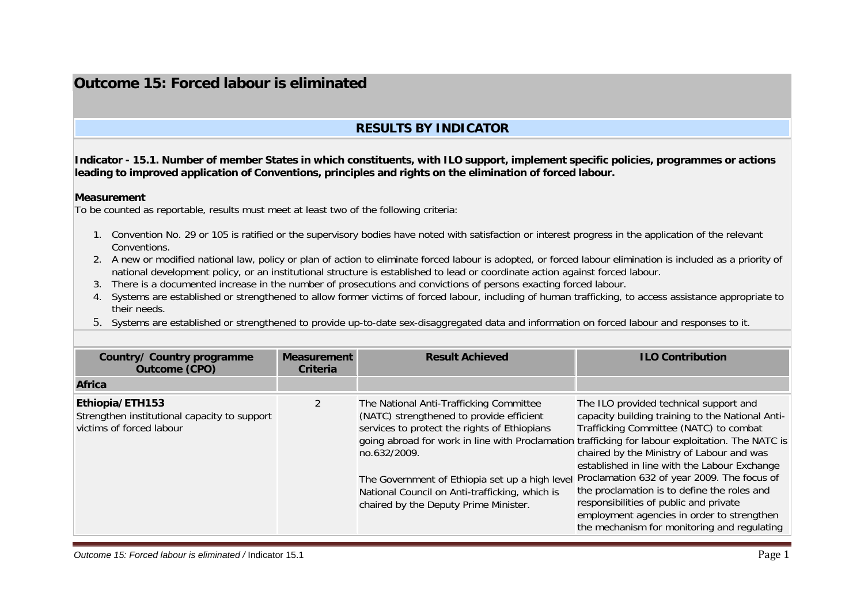## **Outcome 15: Forced labour is eliminated**

## **RESULTS BY INDICATOR**

**Indicator - 15.1. Number of member States in which constituents, with ILO support, implement specific policies, programmes or actions leading to improved application of Conventions, principles and rights on the elimination of forced labour.** 

## **Measurement**

To be counted as reportable, results must meet at least two of the following criteria:

- 1. Convention No. 29 or 105 is ratified or the supervisory bodies have noted with satisfaction or interest progress in the application of the relevant Conventions.
- 2. A new or modified national law, policy or plan of action to eliminate forced labour is adopted, or forced labour elimination is included as a priority of national development policy, or an institutional structure is established to lead or coordinate action against forced labour.
- 3. There is a documented increase in the number of prosecutions and convictions of persons exacting forced labour.
- 4. Systems are established or strengthened to allow former victims of forced labour, including of human trafficking, to access assistance appropriate to their needs.
- 5. Systems are established or strengthened to provide up-to-date sex-disaggregated data and information on forced labour and responses to it.

| <b>Country/ Country programme</b><br><b>Outcome (CPO)</b>                                   | <b>Measurement</b><br><b>Criteria</b> | <b>Result Achieved</b>                                                                                                                                                                                                                                                                                                                                                                               | <b>ILO Contribution</b>                                                                                                                                                                                                                                                                                                                                                                                                                                                |
|---------------------------------------------------------------------------------------------|---------------------------------------|------------------------------------------------------------------------------------------------------------------------------------------------------------------------------------------------------------------------------------------------------------------------------------------------------------------------------------------------------------------------------------------------------|------------------------------------------------------------------------------------------------------------------------------------------------------------------------------------------------------------------------------------------------------------------------------------------------------------------------------------------------------------------------------------------------------------------------------------------------------------------------|
| Africa                                                                                      |                                       |                                                                                                                                                                                                                                                                                                                                                                                                      |                                                                                                                                                                                                                                                                                                                                                                                                                                                                        |
| Ethiopia/ETH153<br>Strengthen institutional capacity to support<br>victims of forced labour |                                       | The National Anti-Trafficking Committee<br>(NATC) strengthened to provide efficient<br>services to protect the rights of Ethiopians<br>going abroad for work in line with Proclamation trafficking for labour exploitation. The NATC is<br>no.632/2009.<br>The Government of Ethiopia set up a high level<br>National Council on Anti-trafficking, which is<br>chaired by the Deputy Prime Minister. | The ILO provided technical support and<br>capacity building training to the National Anti-<br>Trafficking Committee (NATC) to combat<br>chaired by the Ministry of Labour and was<br>established in line with the Labour Exchange<br>Proclamation 632 of year 2009. The focus of<br>the proclamation is to define the roles and<br>responsibilities of public and private<br>employment agencies in order to strengthen<br>the mechanism for monitoring and regulating |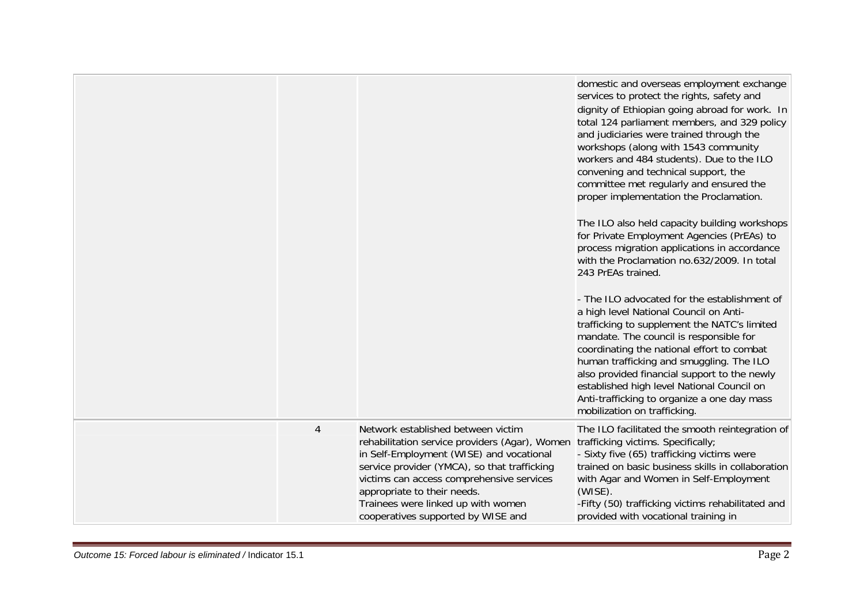|                |                                                                                                                                                                                                                                                                                                                                          | domestic and overseas employment exchange<br>services to protect the rights, safety and<br>dignity of Ethiopian going abroad for work. In<br>total 124 parliament members, and 329 policy<br>and judiciaries were trained through the<br>workshops (along with 1543 community<br>workers and 484 students). Due to the ILO<br>convening and technical support, the<br>committee met regularly and ensured the<br>proper implementation the Proclamation.<br>The ILO also held capacity building workshops<br>for Private Employment Agencies (PrEAs) to<br>process migration applications in accordance<br>with the Proclamation no.632/2009. In total<br>243 PrEAs trained.<br>- The ILO advocated for the establishment of<br>a high level National Council on Anti-<br>trafficking to supplement the NATC's limited<br>mandate. The council is responsible for<br>coordinating the national effort to combat<br>human trafficking and smuggling. The ILO<br>also provided financial support to the newly<br>established high level National Council on<br>Anti-trafficking to organize a one day mass |
|----------------|------------------------------------------------------------------------------------------------------------------------------------------------------------------------------------------------------------------------------------------------------------------------------------------------------------------------------------------|----------------------------------------------------------------------------------------------------------------------------------------------------------------------------------------------------------------------------------------------------------------------------------------------------------------------------------------------------------------------------------------------------------------------------------------------------------------------------------------------------------------------------------------------------------------------------------------------------------------------------------------------------------------------------------------------------------------------------------------------------------------------------------------------------------------------------------------------------------------------------------------------------------------------------------------------------------------------------------------------------------------------------------------------------------------------------------------------------------|
|                |                                                                                                                                                                                                                                                                                                                                          | mobilization on trafficking.                                                                                                                                                                                                                                                                                                                                                                                                                                                                                                                                                                                                                                                                                                                                                                                                                                                                                                                                                                                                                                                                             |
| $\overline{4}$ | Network established between victim<br>rehabilitation service providers (Agar), Women<br>in Self-Employment (WISE) and vocational<br>service provider (YMCA), so that trafficking<br>victims can access comprehensive services<br>appropriate to their needs.<br>Trainees were linked up with women<br>cooperatives supported by WISE and | The ILO facilitated the smooth reintegration of<br>trafficking victims. Specifically;<br>- Sixty five (65) trafficking victims were<br>trained on basic business skills in collaboration<br>with Agar and Women in Self-Employment<br>$(WISE)$ .<br>-Fifty (50) trafficking victims rehabilitated and<br>provided with vocational training in                                                                                                                                                                                                                                                                                                                                                                                                                                                                                                                                                                                                                                                                                                                                                            |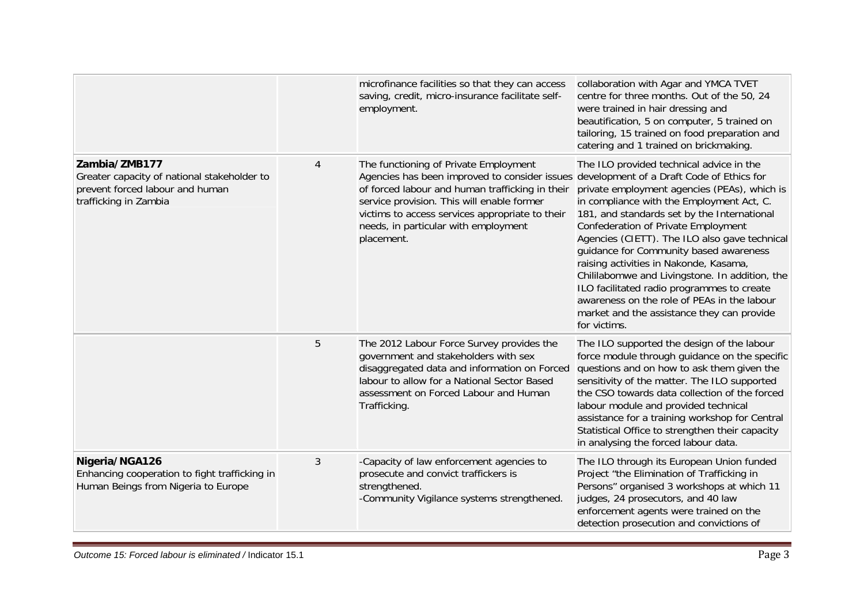|                                                                                                                          |   | microfinance facilities so that they can access<br>saving, credit, micro-insurance facilitate self-<br>employment.                                                                                                                                                                               | collaboration with Agar and YMCA TVET<br>centre for three months. Out of the 50, 24<br>were trained in hair dressing and<br>beautification, 5 on computer, 5 trained on<br>tailoring, 15 trained on food preparation and<br>catering and 1 trained on brickmaking.                                                                                                                                                                                                                                                                                                                                                         |
|--------------------------------------------------------------------------------------------------------------------------|---|--------------------------------------------------------------------------------------------------------------------------------------------------------------------------------------------------------------------------------------------------------------------------------------------------|----------------------------------------------------------------------------------------------------------------------------------------------------------------------------------------------------------------------------------------------------------------------------------------------------------------------------------------------------------------------------------------------------------------------------------------------------------------------------------------------------------------------------------------------------------------------------------------------------------------------------|
| Zambia/ZMB177<br>Greater capacity of national stakeholder to<br>prevent forced labour and human<br>trafficking in Zambia | 4 | The functioning of Private Employment<br>Agencies has been improved to consider issues<br>of forced labour and human trafficking in their<br>service provision. This will enable former<br>victims to access services appropriate to their<br>needs, in particular with employment<br>placement. | The ILO provided technical advice in the<br>development of a Draft Code of Ethics for<br>private employment agencies (PEAs), which is<br>in compliance with the Employment Act, C.<br>181, and standards set by the International<br>Confederation of Private Employment<br>Agencies (CIETT). The ILO also gave technical<br>guidance for Community based awareness<br>raising activities in Nakonde, Kasama,<br>Chililabomwe and Livingstone. In addition, the<br>ILO facilitated radio programmes to create<br>awareness on the role of PEAs in the labour<br>market and the assistance they can provide<br>for victims. |
|                                                                                                                          | 5 | The 2012 Labour Force Survey provides the<br>government and stakeholders with sex<br>disaggregated data and information on Forced<br>labour to allow for a National Sector Based<br>assessment on Forced Labour and Human<br>Trafficking.                                                        | The ILO supported the design of the labour<br>force module through guidance on the specific<br>questions and on how to ask them given the<br>sensitivity of the matter. The ILO supported<br>the CSO towards data collection of the forced<br>labour module and provided technical<br>assistance for a training workshop for Central<br>Statistical Office to strengthen their capacity<br>in analysing the forced labour data.                                                                                                                                                                                            |
| Nigeria/NGA126<br>Enhancing cooperation to fight trafficking in<br>Human Beings from Nigeria to Europe                   | 3 | -Capacity of law enforcement agencies to<br>prosecute and convict traffickers is<br>strengthened.<br>-Community Vigilance systems strengthened.                                                                                                                                                  | The ILO through its European Union funded<br>Project "the Elimination of Trafficking in<br>Persons" organised 3 workshops at which 11<br>judges, 24 prosecutors, and 40 law<br>enforcement agents were trained on the<br>detection prosecution and convictions of                                                                                                                                                                                                                                                                                                                                                          |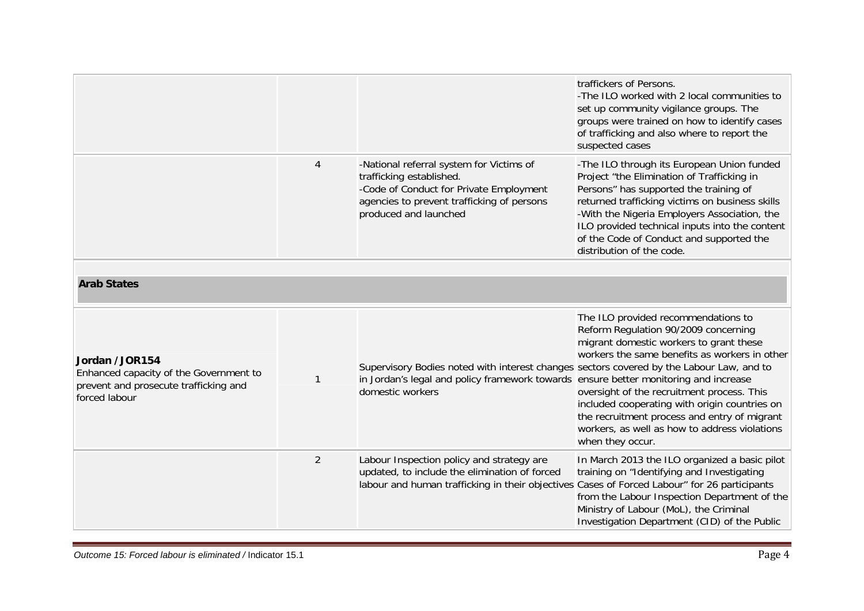|                                                                                                                    |                |                                                                                                                                                                                                      | traffickers of Persons.<br>-The ILO worked with 2 local communities to<br>set up community vigilance groups. The<br>groups were trained on how to identify cases<br>of trafficking and also where to report the<br>suspected cases                                                                                                                                                          |
|--------------------------------------------------------------------------------------------------------------------|----------------|------------------------------------------------------------------------------------------------------------------------------------------------------------------------------------------------------|---------------------------------------------------------------------------------------------------------------------------------------------------------------------------------------------------------------------------------------------------------------------------------------------------------------------------------------------------------------------------------------------|
|                                                                                                                    | 4              | -National referral system for Victims of<br>trafficking established.<br>-Code of Conduct for Private Employment<br>agencies to prevent trafficking of persons<br>produced and launched               | -The ILO through its European Union funded<br>Project "the Elimination of Trafficking in<br>Persons" has supported the training of<br>returned trafficking victims on business skills<br>-With the Nigeria Employers Association, the<br>ILO provided technical inputs into the content<br>of the Code of Conduct and supported the<br>distribution of the code.                            |
|                                                                                                                    |                |                                                                                                                                                                                                      |                                                                                                                                                                                                                                                                                                                                                                                             |
| <b>Arab States</b>                                                                                                 |                |                                                                                                                                                                                                      |                                                                                                                                                                                                                                                                                                                                                                                             |
| Jordan /JOR154<br>Enhanced capacity of the Government to<br>prevent and prosecute trafficking and<br>forced labour | $\mathbf{1}$   | Supervisory Bodies noted with interest changes sectors covered by the Labour Law, and to<br>in Jordan's legal and policy framework towards ensure better monitoring and increase<br>domestic workers | The ILO provided recommendations to<br>Reform Regulation 90/2009 concerning<br>migrant domestic workers to grant these<br>workers the same benefits as workers in other<br>oversight of the recruitment process. This<br>included cooperating with origin countries on<br>the recruitment process and entry of migrant<br>workers, as well as how to address violations<br>when they occur. |
|                                                                                                                    | $\overline{2}$ | Labour Inspection policy and strategy are<br>updated, to include the elimination of forced<br>labour and human trafficking in their objectives Cases of Forced Labour" for 26 participants           | In March 2013 the ILO organized a basic pilot<br>training on "Identifying and Investigating<br>from the Labour Inspection Department of the<br>Ministry of Labour (MoL), the Criminal<br>Investigation Department (CID) of the Public                                                                                                                                                       |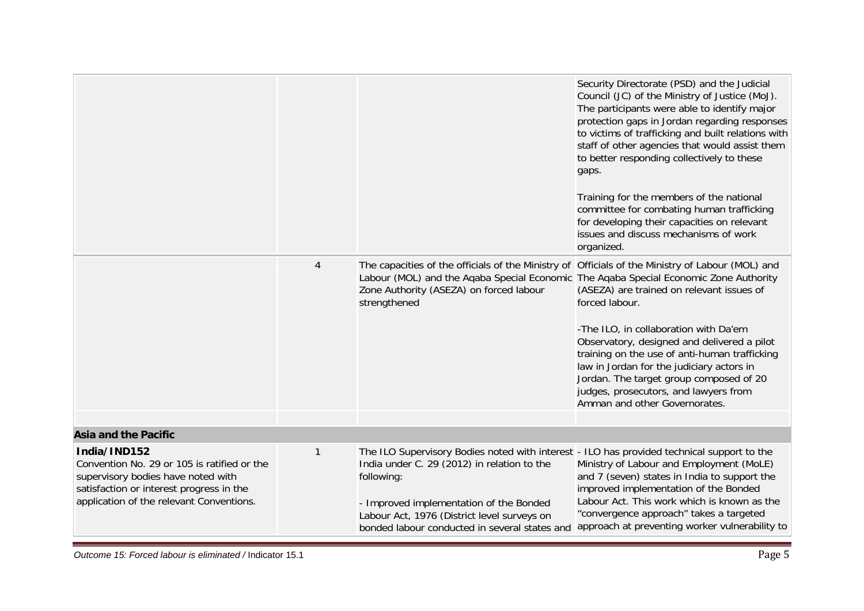|                                                                                                                                                                                           |                |                                                                                                                                                                                                                                                                                                    | Security Directorate (PSD) and the Judicial<br>Council (JC) of the Ministry of Justice (MoJ).<br>The participants were able to identify major<br>protection gaps in Jordan regarding responses<br>to victims of trafficking and built relations with<br>staff of other agencies that would assist them<br>to better responding collectively to these<br>gaps.<br>Training for the members of the national<br>committee for combating human trafficking<br>for developing their capacities on relevant<br>issues and discuss mechanisms of work<br>organized. |
|-------------------------------------------------------------------------------------------------------------------------------------------------------------------------------------------|----------------|----------------------------------------------------------------------------------------------------------------------------------------------------------------------------------------------------------------------------------------------------------------------------------------------------|--------------------------------------------------------------------------------------------------------------------------------------------------------------------------------------------------------------------------------------------------------------------------------------------------------------------------------------------------------------------------------------------------------------------------------------------------------------------------------------------------------------------------------------------------------------|
|                                                                                                                                                                                           | $\overline{4}$ | The capacities of the officials of the Ministry of Officials of the Ministry of Labour (MOL) and<br>Labour (MOL) and the Aqaba Special Economic The Aqaba Special Economic Zone Authority<br>Zone Authority (ASEZA) on forced labour<br>strengthened                                               | (ASEZA) are trained on relevant issues of<br>forced labour.<br>-The ILO, in collaboration with Da'em<br>Observatory, designed and delivered a pilot<br>training on the use of anti-human trafficking<br>law in Jordan for the judiciary actors in<br>Jordan. The target group composed of 20<br>judges, prosecutors, and lawyers from<br>Amman and other Governorates.                                                                                                                                                                                       |
| <b>Asia and the Pacific</b>                                                                                                                                                               |                |                                                                                                                                                                                                                                                                                                    |                                                                                                                                                                                                                                                                                                                                                                                                                                                                                                                                                              |
|                                                                                                                                                                                           |                |                                                                                                                                                                                                                                                                                                    |                                                                                                                                                                                                                                                                                                                                                                                                                                                                                                                                                              |
| India/IND152<br>Convention No. 29 or 105 is ratified or the<br>supervisory bodies have noted with<br>satisfaction or interest progress in the<br>application of the relevant Conventions. | $\mathbf{1}$   | The ILO Supervisory Bodies noted with interest - ILO has provided technical support to the<br>India under C. 29 (2012) in relation to the<br>following:<br>- Improved implementation of the Bonded<br>Labour Act, 1976 (District level surveys on<br>bonded labour conducted in several states and | Ministry of Labour and Employment (MoLE)<br>and 7 (seven) states in India to support the<br>improved implementation of the Bonded<br>Labour Act. This work which is known as the<br>"convergence approach" takes a targeted<br>approach at preventing worker vulnerability to                                                                                                                                                                                                                                                                                |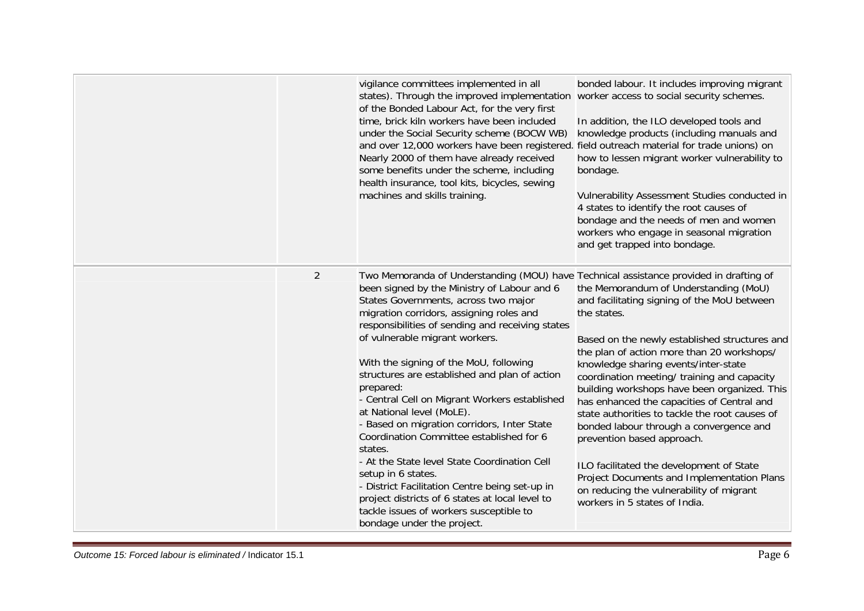|                | vigilance committees implemented in all<br>states). Through the improved implementation worker access to social security schemes.<br>of the Bonded Labour Act, for the very first<br>time, brick kiln workers have been included<br>under the Social Security scheme (BOCW WB)<br>and over 12,000 workers have been registered. field outreach material for trade unions) on<br>Nearly 2000 of them have already received<br>some benefits under the scheme, including<br>health insurance, tool kits, bicycles, sewing<br>machines and skills training.                                                                                                                                                                                                                                                                                                        | bonded labour. It includes improving migrant<br>In addition, the ILO developed tools and<br>knowledge products (including manuals and<br>how to lessen migrant worker vulnerability to<br>bondage.<br>Vulnerability Assessment Studies conducted in<br>4 states to identify the root causes of<br>bondage and the needs of men and women<br>workers who engage in seasonal migration<br>and get trapped into bondage.                                                                                                                                                                                                                                                                     |
|----------------|-----------------------------------------------------------------------------------------------------------------------------------------------------------------------------------------------------------------------------------------------------------------------------------------------------------------------------------------------------------------------------------------------------------------------------------------------------------------------------------------------------------------------------------------------------------------------------------------------------------------------------------------------------------------------------------------------------------------------------------------------------------------------------------------------------------------------------------------------------------------|-------------------------------------------------------------------------------------------------------------------------------------------------------------------------------------------------------------------------------------------------------------------------------------------------------------------------------------------------------------------------------------------------------------------------------------------------------------------------------------------------------------------------------------------------------------------------------------------------------------------------------------------------------------------------------------------|
| $\overline{2}$ | Two Memoranda of Understanding (MOU) have Technical assistance provided in drafting of<br>been signed by the Ministry of Labour and 6<br>States Governments, across two major<br>migration corridors, assigning roles and<br>responsibilities of sending and receiving states<br>of vulnerable migrant workers.<br>With the signing of the MoU, following<br>structures are established and plan of action<br>prepared:<br>- Central Cell on Migrant Workers established<br>at National level (MoLE).<br>- Based on migration corridors, Inter State<br>Coordination Committee established for 6<br>states.<br>- At the State level State Coordination Cell<br>setup in 6 states.<br>- District Facilitation Centre being set-up in<br>project districts of 6 states at local level to<br>tackle issues of workers susceptible to<br>bondage under the project. | the Memorandum of Understanding (MoU)<br>and facilitating signing of the MoU between<br>the states.<br>Based on the newly established structures and<br>the plan of action more than 20 workshops/<br>knowledge sharing events/inter-state<br>coordination meeting/ training and capacity<br>building workshops have been organized. This<br>has enhanced the capacities of Central and<br>state authorities to tackle the root causes of<br>bonded labour through a convergence and<br>prevention based approach.<br>ILO facilitated the development of State<br>Project Documents and Implementation Plans<br>on reducing the vulnerability of migrant<br>workers in 5 states of India. |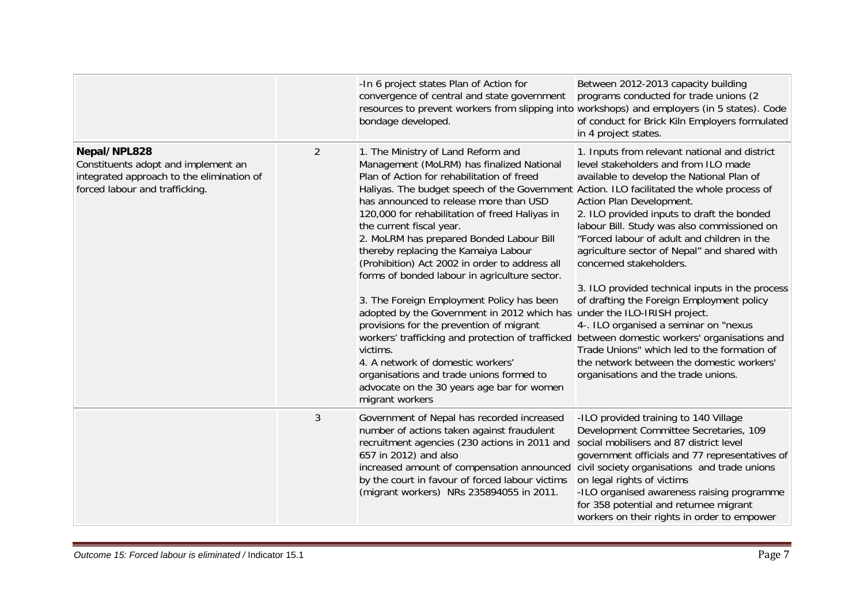|                                                                                                                                    |                | -In 6 project states Plan of Action for<br>convergence of central and state government<br>resources to prevent workers from slipping into workshops) and employers (in 5 states). Code<br>bondage developed.                                                                                                                                                                                                                                                                                                                                                                                                                                                                                                                                                                                                                                                                                                                                                                  | Between 2012-2013 capacity building<br>programs conducted for trade unions (2)<br>of conduct for Brick Kiln Employers formulated<br>in 4 project states.                                                                                                                                                                                                                                                                                                                                                                                                                                                                                                          |
|------------------------------------------------------------------------------------------------------------------------------------|----------------|-------------------------------------------------------------------------------------------------------------------------------------------------------------------------------------------------------------------------------------------------------------------------------------------------------------------------------------------------------------------------------------------------------------------------------------------------------------------------------------------------------------------------------------------------------------------------------------------------------------------------------------------------------------------------------------------------------------------------------------------------------------------------------------------------------------------------------------------------------------------------------------------------------------------------------------------------------------------------------|-------------------------------------------------------------------------------------------------------------------------------------------------------------------------------------------------------------------------------------------------------------------------------------------------------------------------------------------------------------------------------------------------------------------------------------------------------------------------------------------------------------------------------------------------------------------------------------------------------------------------------------------------------------------|
| Nepal/NPL828<br>Constituents adopt and implement an<br>integrated approach to the elimination of<br>forced labour and trafficking. | $\overline{2}$ | 1. The Ministry of Land Reform and<br>Management (MoLRM) has finalized National<br>Plan of Action for rehabilitation of freed<br>Haliyas. The budget speech of the Government Action. ILO facilitated the whole process of<br>has announced to release more than USD<br>120,000 for rehabilitation of freed Haliyas in<br>the current fiscal year.<br>2. MoLRM has prepared Bonded Labour Bill<br>thereby replacing the Kamaiya Labour<br>(Prohibition) Act 2002 in order to address all<br>forms of bonded labour in agriculture sector.<br>3. The Foreign Employment Policy has been<br>adopted by the Government in 2012 which has under the ILO-IRISH project.<br>provisions for the prevention of migrant<br>workers' trafficking and protection of trafficked between domestic workers' organisations and<br>victims.<br>4. A network of domestic workers'<br>organisations and trade unions formed to<br>advocate on the 30 years age bar for women<br>migrant workers | 1. Inputs from relevant national and district<br>level stakeholders and from ILO made<br>available to develop the National Plan of<br>Action Plan Development.<br>2. ILO provided inputs to draft the bonded<br>labour Bill. Study was also commissioned on<br>"Forced labour of adult and children in the<br>agriculture sector of Nepal" and shared with<br>concerned stakeholders.<br>3. ILO provided technical inputs in the process<br>of drafting the Foreign Employment policy<br>4-. ILO organised a seminar on "nexus<br>Trade Unions" which led to the formation of<br>the network between the domestic workers'<br>organisations and the trade unions. |
|                                                                                                                                    | $\mathfrak{Z}$ | Government of Nepal has recorded increased<br>number of actions taken against fraudulent<br>recruitment agencies (230 actions in 2011 and<br>657 in 2012) and also<br>increased amount of compensation announced<br>by the court in favour of forced labour victims<br>(migrant workers) NRs 235894055 in 2011.                                                                                                                                                                                                                                                                                                                                                                                                                                                                                                                                                                                                                                                               | -ILO provided training to 140 Village<br>Development Committee Secretaries, 109<br>social mobilisers and 87 district level<br>government officials and 77 representatives of<br>civil society organisations and trade unions<br>on legal rights of victims<br>-ILO organised awareness raising programme<br>for 358 potential and returnee migrant<br>workers on their rights in order to empower                                                                                                                                                                                                                                                                 |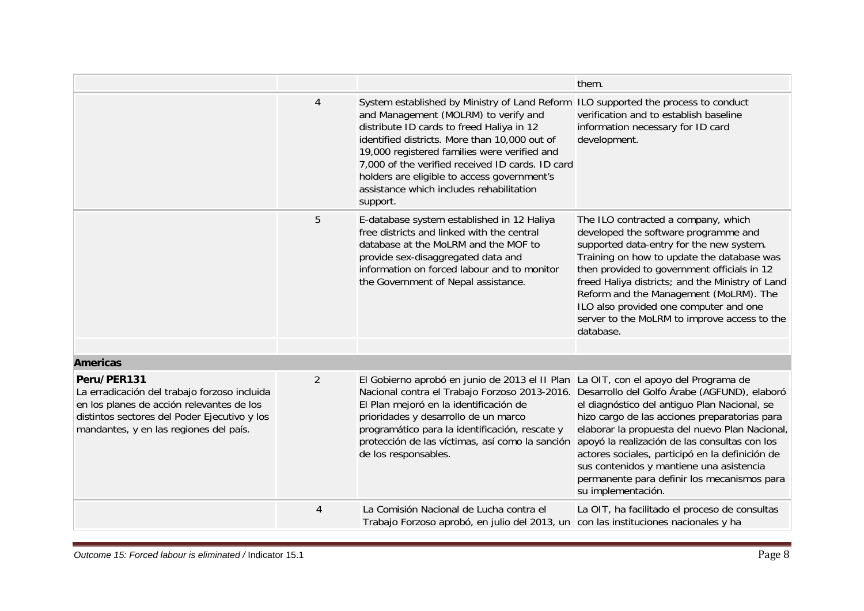|                                                                                                                                                                                                    |                |                                                                                                                                                                                                                                                                                                                                                                                                                                     | them.                                                                                                                                                                                                                                                                                                                                                                                                                     |
|----------------------------------------------------------------------------------------------------------------------------------------------------------------------------------------------------|----------------|-------------------------------------------------------------------------------------------------------------------------------------------------------------------------------------------------------------------------------------------------------------------------------------------------------------------------------------------------------------------------------------------------------------------------------------|---------------------------------------------------------------------------------------------------------------------------------------------------------------------------------------------------------------------------------------------------------------------------------------------------------------------------------------------------------------------------------------------------------------------------|
|                                                                                                                                                                                                    | $\overline{4}$ | System established by Ministry of Land Reform ILO supported the process to conduct<br>and Management (MOLRM) to verify and<br>distribute ID cards to freed Haliya in 12<br>identified districts. More than 10,000 out of<br>19,000 registered families were verified and<br>7,000 of the verified received ID cards. ID card<br>holders are eligible to access government's<br>assistance which includes rehabilitation<br>support. | verification and to establish baseline<br>information necessary for ID card<br>development.                                                                                                                                                                                                                                                                                                                               |
|                                                                                                                                                                                                    | 5              | E-database system established in 12 Haliya<br>free districts and linked with the central<br>database at the MoLRM and the MOF to<br>provide sex-disaggregated data and<br>information on forced labour and to monitor<br>the Government of Nepal assistance.                                                                                                                                                                        | The ILO contracted a company, which<br>developed the software programme and<br>supported data-entry for the new system.<br>Training on how to update the database was<br>then provided to government officials in 12<br>freed Haliya districts; and the Ministry of Land<br>Reform and the Management (MoLRM). The<br>ILO also provided one computer and one<br>server to the MoLRM to improve access to the<br>database. |
| <b>Americas</b>                                                                                                                                                                                    |                |                                                                                                                                                                                                                                                                                                                                                                                                                                     |                                                                                                                                                                                                                                                                                                                                                                                                                           |
|                                                                                                                                                                                                    |                |                                                                                                                                                                                                                                                                                                                                                                                                                                     |                                                                                                                                                                                                                                                                                                                                                                                                                           |
| Peru/PER131<br>La erradicación del trabajo forzoso incluida<br>en los planes de acción relevantes de los<br>distintos sectores del Poder Ejecutivo y los<br>mandantes, y en las regiones del país. | $\overline{2}$ | El Gobierno aprobó en junio de 2013 el II Plan La OIT, con el apoyo del Programa de<br>Nacional contra el Trabajo Forzoso 2013-2016. Desarrollo del Golfo Árabe (AGFUND), elaboró<br>El Plan mejoró en la identificación de<br>prioridades y desarrollo de un marco<br>programático para la identificación, rescate y<br>protección de las víctimas, así como la sanción<br>de los responsables.                                    | el diagnóstico del antiguo Plan Nacional, se<br>hizo cargo de las acciones preparatorias para<br>elaborar la propuesta del nuevo Plan Nacional,<br>apoyó la realización de las consultas con los<br>actores sociales, participó en la definición de<br>sus contenidos y mantiene una asistencia<br>permanente para definir los mecanismos para<br>su implementación.                                                      |
|                                                                                                                                                                                                    | 4              | La Comisión Nacional de Lucha contra el<br>Trabajo Forzoso aprobó, en julio del 2013, un con las instituciones nacionales y ha                                                                                                                                                                                                                                                                                                      | La OIT, ha facilitado el proceso de consultas                                                                                                                                                                                                                                                                                                                                                                             |